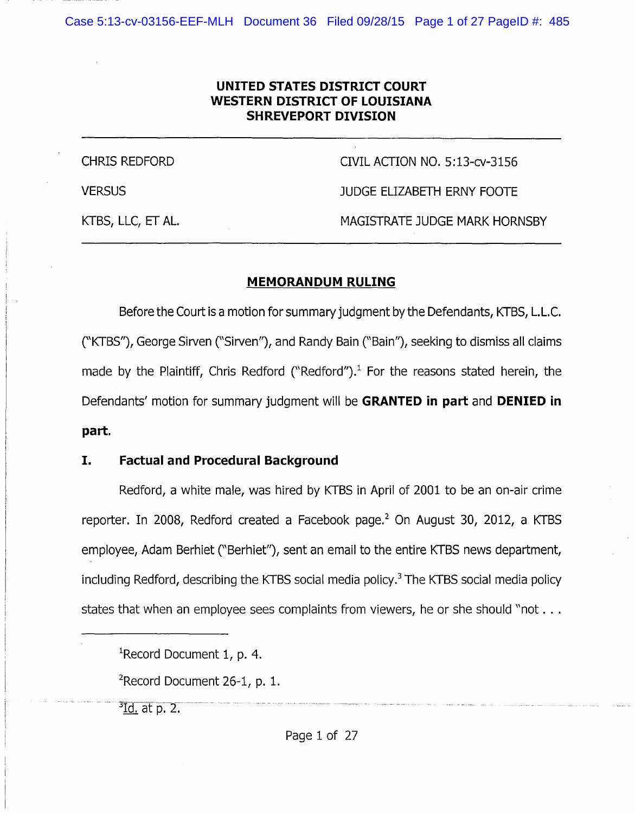#### **UNITED STATES DISTRICT COURT WESTERN DISTRICT OF LOUISIANA SHREVEPORT DIVISION**

CHRIS REDFORD **VERSUS** KTBS, LLC, ET AL. CIVIL ACTION NO. 5:13-cv-3156 JUDGE ELIZABETH ERNY FOOTE MAGISTRATE JUDGE MARK HORNSBY

#### **MEMORANDUM RULING**

Before the Court is a motion for summary judgment by the Defendants, KTBS, L.L.C. (''KTBS"), George Sirven ("Sirven"), and Randy Bain ("Bain"), seeking to dismiss all claims made by the Plaintiff, Chris Redford ("Redford").<sup>1</sup> For the reasons stated herein, the Defendants' motion for summary judgment will be **GRANTED in part** and **DENIED in part.** 

#### I. **Factual and Procedural Background**

Redford, a white male, was hired by KTBS in April of 2001 to be an on-air crime reporter. In 2008, Redford created a Facebook page. $<sup>2</sup>$  On August 30, 2012, a KTBS</sup> employee, Adam Berhiet ("Berhiet"), sent an email to the entire KTBS news department, including Redford, describing the KTBS social media policy.<sup>3</sup> The KTBS social media policy states that when an employee sees complaints from viewers, he or she should "not . . .

<sup>2</sup>Record Document 26-1, p. 1.

 $^3$ Id. at p. 2.

<sup>&</sup>lt;sup>1</sup>Record Document 1, p. 4.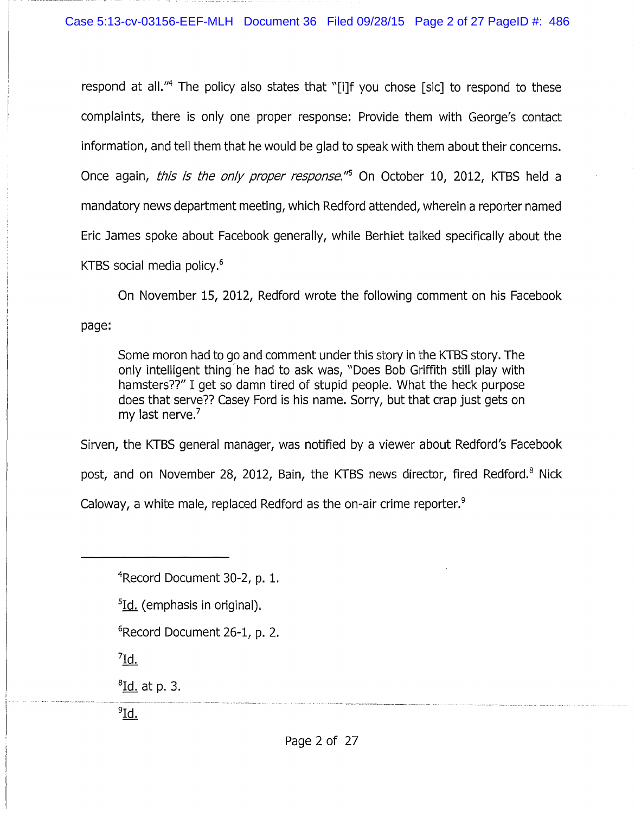respond at all."<sup>4</sup> The policy also states that "[i]f you chose [sic] to respond to these complaints, there is only one proper response: Provide them with George's contact information, and tell them that he would be glad to speak with them about their concerns. Once again, *this is the only proper response*.<sup>"5</sup> On October 10, 2012, KTBS held a mandatory news department meeting, which Redford attended, wherein a reporter named Eric James spoke about Facebook generally, while Berhiet talked specifically about the KTBS social media policy.<sup>6</sup>

page: On November 15, 2012, Redford wrote the following comment on his Facebook

Some moron had to go and comment under this story in the KTBS story. The only intelligent thing he had to ask was, "Does Bob Griffith still play with hamsters??" I get so damn tired of stupid people. What the heck purpose does that serve?? Casey Ford is his name. Sorry, but that crap just gets on my last nerve.<sup>7</sup>

Sirven, the KTBS general manager, was notified by a viewer about Redford's Facebook post, and on November 28, 2012, Bain, the KTBS news director, fired Redford.<sup>8</sup> Nick Caloway, a white male, replaced Redford as the on-air crime reporter.<sup>9</sup>

6 Record Document 26-1, p. 2.

 $^7\underline{\text{Id}}$ .

<sup>8</sup><u>Id.</u> at p. 3.

 $^9$ Id.

<sup>4</sup> Record Document 30-2, p. 1.

<sup>&</sup>lt;sup>5</sup>Id. (emphasis in original).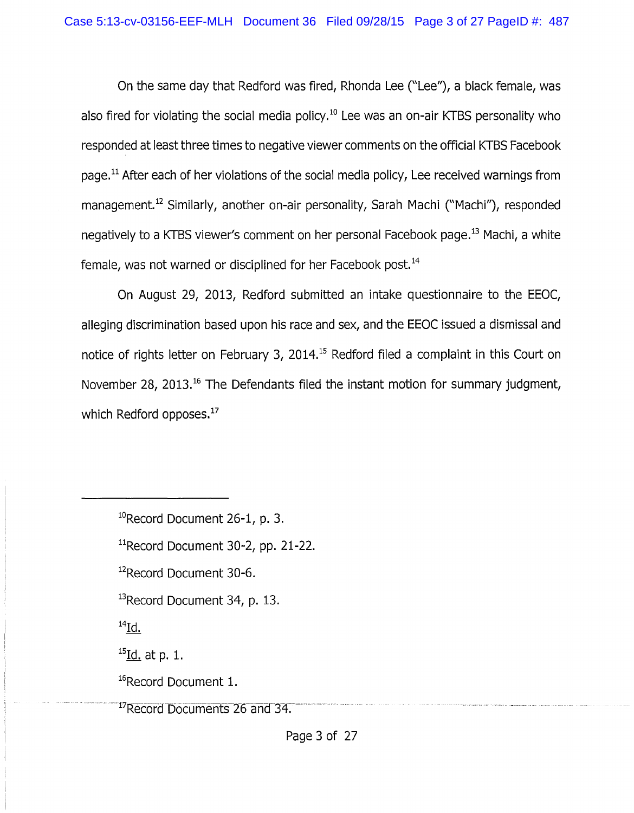On the same day that Redford was fired, Rhonda Lee ("Lee''), a black female, was also fired for violating the social media policy.<sup>10</sup> Lee was an on-air KTBS personality who responded at least three times to negative viewer comments on the official KTBS Facebook page.<sup>11</sup> After each of her violations of the social media policy, Lee received warnings from management.<sup>12</sup> Similarly, another on-air personality, Sarah Machi ("Machi"), responded negatively to a KTBS viewer's comment on her personal Facebook page.<sup>13</sup> Machi, a white female, was not warned or disciplined for her Facebook post.<sup>14</sup>

On August 29, 2013, Redford submitted an intake questionnaire to the EEOC, alleging discrimination based upon his race and sex, and the EEOC issued a dismissal and notice of rights letter on February 3, 2014.<sup>15</sup> Redford filed a complaint in this Court on November 28, 2013.<sup>16</sup> The Defendants filed the instant motion for summary judgment, which Redford opposes.<sup>17</sup>

<sup>10</sup>Record Document 26-1, p. 3.

 $11$ Record Document 30-2, pp. 21-22.

<sup>12</sup>Record Document 30-6.

<sup>13</sup>Record Document 34, p. 13.

 $^{14}$ Id.

 $^{15}$ Id. at p. 1.

<sup>16</sup>Record Document 1.

**17** Record Documents 26 and 34.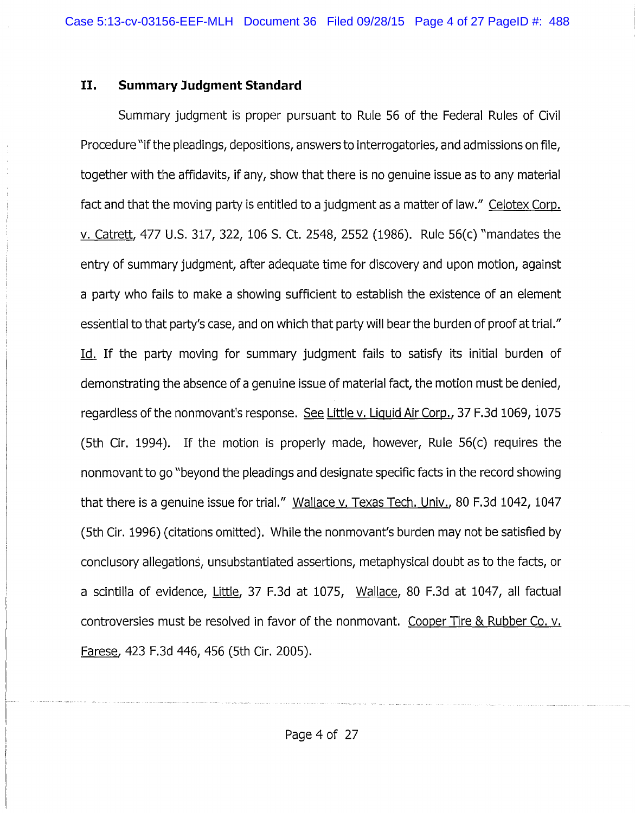#### II. **Summary Judgment Standard**

Summary judgment is proper pursuant to Rule 56 of the Federal Rules of Civil Procedure "if the pleadings, depositions, answers to interrogatories, and admissions on file, together with the affidavits, if any, show that there is no genuine issue as to any material fact and that the moving party is entitled to a judgment as a matter of law." Celotex Corp. v. Catrett, 477 U.S. 317, 322, 106 S. Ct. 2548, 2552 (1986). Rule 56(c) "mandates the entry of summary judgment, after adequate time for discovery and upon motion, against a party who fails to make a showing sufficient to establish the existence of an element essential to that party's case, and on which that party will bear the burden of proof at trial." Id. If the party moving for summary judgment fails to satisfy its initial burden of demonstrating the absence of a genuine issue of material fact, the motion must be denied, regardless of the nonmovant's response. See Little v. Liquid Air Corp., 37 F.3d 1069, 1075 (5th Cir. 1994). If the motion is properly made, however, Rule 56(c) requires the non movant to go "beyond the pleadings and designate specific facts in the record showing that there is a genuine issue for trial." Wallace v. Texas Tech. Univ., 80 F.3d 1042, 1047 (5th Cir. 1996) (citations omitted). While the nonmovant's burden may not be satisfied by conclusory allegations, unsubstantiated assertions, metaphysical doubt as to the facts, or a scintilla of evidence, Little, 37 F.3d at 1075, Wallace, 80 F.3d at 1047, all factual controversies must be resolved in favor of the nonmovant. Cooper Tire & Rubber Co. v. Farese, 423 F.3d 446, 456 (5th Cir. 2005).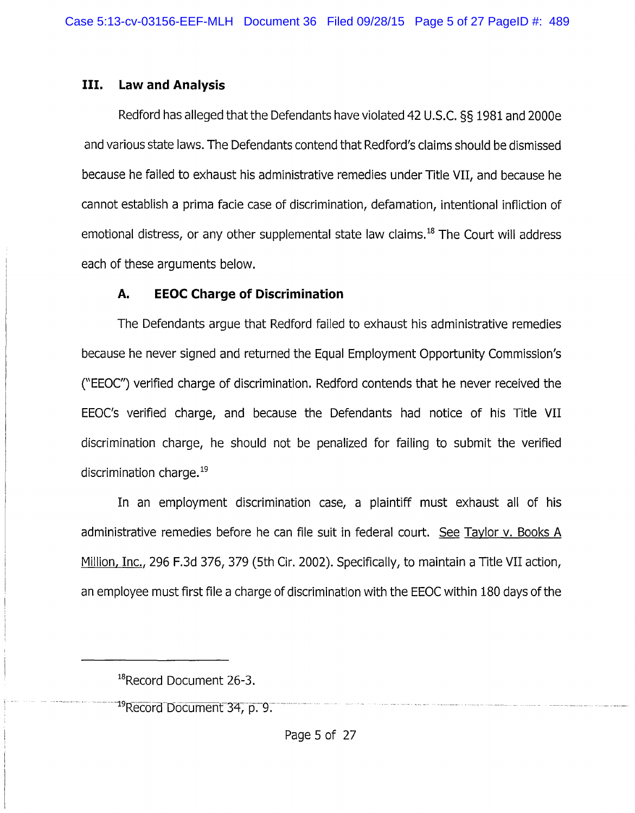### III. **Law and Analysis**

Redford has alleged that the Defendants have violated 42 U.S.C. §§ 1981 and 2000e and various state laws. The Defendants contend that Redford's claims should be dismissed because he failed to exhaust his administrative remedies under Title VII, and because he cannot establish a prima facie case of discrimination, defamation, intentional infliction of emotional distress, or any other supplemental state law claims.<sup>18</sup> The Court will address each of these arguments below.

# **A. EEOC Charge of Discrimination**

The Defendants argue that Redford failed to exhaust his administrative remedies because he never signed and returned the Equal Employment Opportunity Commission's ("EEOC") verified charge of discrimination. Redford contends that he never received the EEOC's verified charge, and because the Defendants had notice of his Title VII discrimination charge, he should not be penalized for failing to submit the verified discrimination charge.<sup>19</sup>

In an employment discrimination case, a plaintiff must exhaust all of his administrative remedies before he can file suit in federal court. See Taylor v. Books A Million, Inc., 296 F.3d 376, 379 (5th Cir. 2002). Specifically, to maintain a Title VII action, an employee must first file a charge of discrimination with the EEOC within 180 days of the

<sup>19</sup>Record Document 34, p. 9.

<sup>&</sup>lt;sup>18</sup>Record Document 26-3.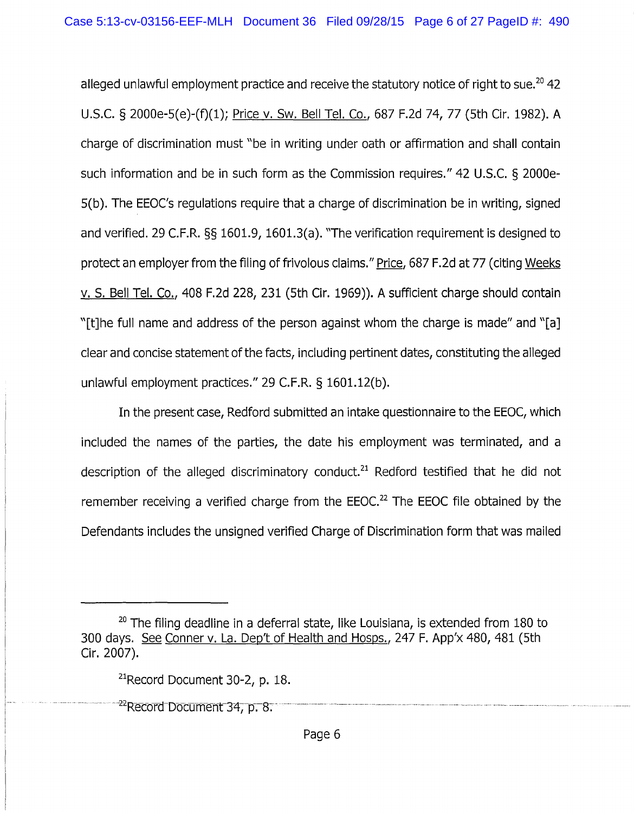alleged unlawful employment practice and receive the statutory notice of right to sue.<sup>20</sup> 42 U.S.C. § 2000e-5(e)-(f)(1); Price v. Sw. Bell Tel. Co., 687 F.2d 74, 77 (5th Cir. 1982). A charge of discrimination must "be in writing under oath or affirmation and shall contain such information and be in such form as the Commission requires." 42 U.S.C. § 2000e-5(b). The EEOC's regulations require that a charge of discrimination be in writing, signed and verified. 29 C.F.R. §§ 1601.9, 1601.3(a). "The verification requirement is designed to protect an employer from the filing of frivolous claims." Price, 687 F.2d at 77 (citing Weeks v. S. Bell Tel. Co., 408 F.2d 228, 231 (5th Cir. 1969)). A sufficient charge should contain "[t]he full name and address of the person against whom the charge is made" and "[a] clear and concise statement of the facts, including pertinent dates, constituting the alleged unlawful employment practices." 29 C.F.R. § 1601.12(b).

In the present case, Redford submitted an intake questionnaire to the EEOC, which included the names of the parties, the date his employment was terminated, and a description of the alleged discriminatory conduct.<sup>21</sup> Redford testified that he did not remember receiving a verified charge from the  $EEOC<sup>22</sup>$  The EEOC file obtained by the Defendants includes the unsigned verified Charge of Discrimination form that was mailed

 $20$  The filing deadline in a deferral state, like Louisiana, is extended from 180 to 300 days. See Conner v. La. Dep't of Health and Hosps., 247 F. App'x 480, 481 (5th Cir. 2007).

<sup>&</sup>lt;sup>21</sup>Record Document 30-2, p. 18.

 $22$ Record Document 34, p. 8.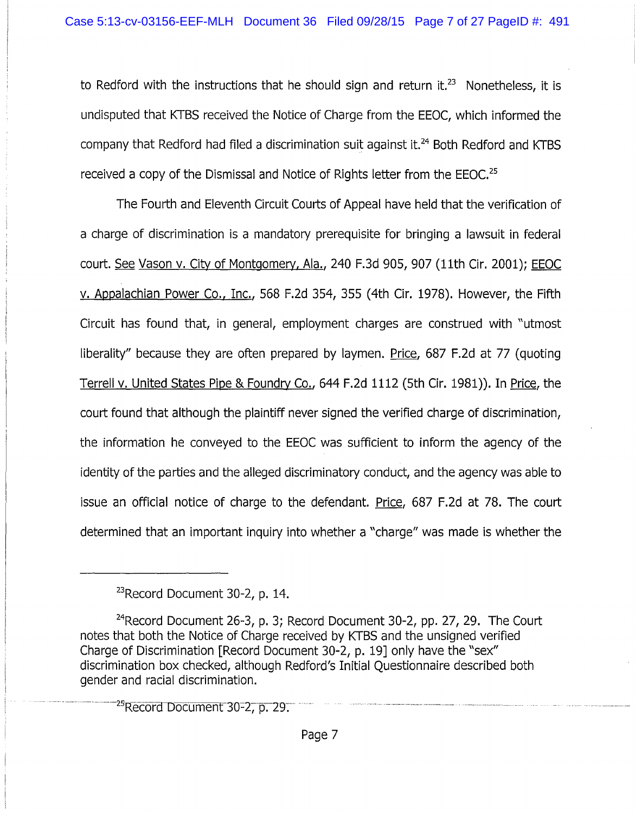to Redford with the instructions that he should sign and return it. $23$  Nonetheless, it is undisputed that KTBS received the Notice of Charge from the EEOC, which informed the company that Redford had filed a discrimination suit against it.<sup>24</sup> Both Redford and KTBS received a copy of the Dismissal and Notice of Rights letter from the EEOC.<sup>25</sup>

The Fourth and Eleventh Circuit Courts of Appeal have held that the verification of a charge of discrimination is a mandatory prerequisite for bringing a lawsuit in federal court. See Vason v. City of Montgomery, Ala., 240 F.3d 905, 907 (11th Cir. 2001); EEOC v. Appalachian Power Co., Inc., 568 F.2d 354, 355 (4th Cir. 1978). However, the Fifth Circuit has found that, in general, employment charges are construed with "utmost liberality" because they are often prepared by laymen. Price, 687 F.2d at 77 (quoting Terrell v. United States Pipe & Foundry Co., 644 F.2d 1112 (5th Cir. 1981)). In Price, the court found that although the plaintiff never signed the verified charge of discrimination, the information he conveyed to the EEOC was sufficient to inform the agency of the identity of the parties and the alleged discriminatory conduct, and the agency was able to issue an official notice of charge to the defendant. Price, 687 F.2d at 78. The court determined that an important inquiry into whether a "charge" was made is whether the

<sup>25</sup>Record Document 30-2, p. 29.

<sup>&</sup>lt;sup>23</sup>Record Document 30-2, p. 14.

<sup>&</sup>lt;sup>24</sup>Record Document 26-3, p. 3; Record Document 30-2, pp. 27, 29. The Court notes that both the Notice of Charge received by KTBS and the unsigned verified Charge of Discrimination [Record Document 30-2, p. 19] only have the "sex" discrimination box checked, although Redford's Initial Questionnaire described both gender and racial discrimination.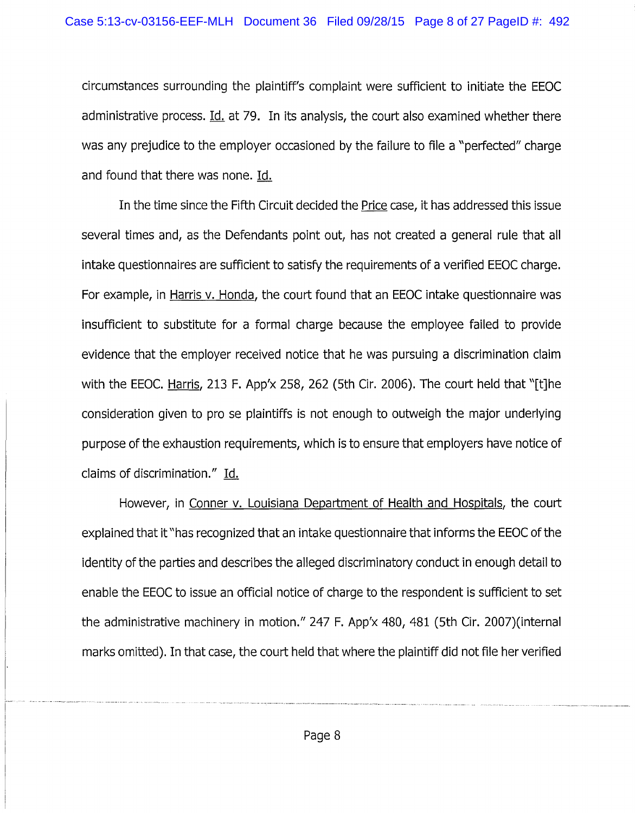circumstances surrounding the plaintiff's complaint were sufficient to initiate the EEOC administrative process. Id. at 79. In its analysis, the court also examined whether there was any prejudice to the employer occasioned by the failure to file a "perfected" charge and found that there was none. Id.

In the time since the Fifth Circuit decided the *Price* case, it has addressed this issue several times and, as the Defendants point out, has not created a general rule that all intake questionnaires are sufficient to satisfy the requirements of a verified EEOC charge. For example, in Harris v. Honda, the court found that an EEOC intake questionnaire was insufficient to substitute for a formal charge because the employee failed to provide evidence that the employer received notice that he was pursuing a discrimination claim with the EEOC. Harris, 213 F. App'x 258, 262 (5th Cir. 2006). The court held that "[t]he consideration given to pro se plaintiffs is not enough to outweigh the major underlying purpose of the exhaustion requirements, which is to ensure that employers have notice of claims of discrimination." Id.

However, in Conner v. Louisiana Department of Health and Hospitals, the court explained that it"has recognized that an intake questionnaire that informs the EEOC of the identity of the parties and describes the alleged discriminatory conduct in enough detail to enable the EEOC to issue an official notice of charge to the respondent is sufficient to set the administrative machinery in motion." 247 F. App'x 480, 481 (5th Cir. 2007)(internal marks omitted). In that case, the court held that where the plaintiff did not file her verified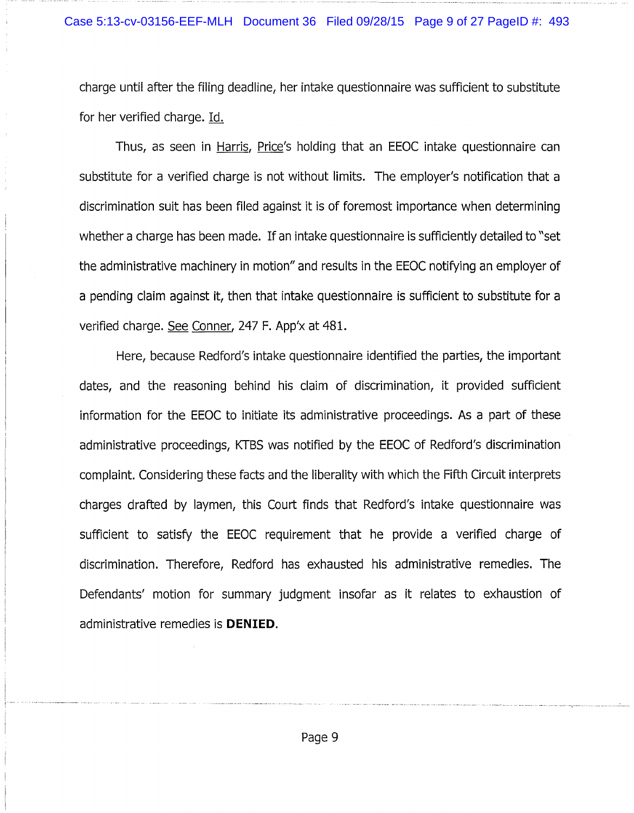charge until after the filing deadline, her intake questionnaire was sufficient to substitute for her verified charge. Id.

Thus, as seen in Harris, Price's holding that an EEOC intake questionnaire can substitute for a verified charge is not without limits. The employer's notification that a discrimination suit has been filed against it is of foremost importance when determining whether a charge has been made. If an intake questionnaire is sufficiently detailed to "set the administrative machinery in motion" and results in the EEOC notifying an employer of a pending claim against it, then that intake questionnaire is sufficient to substitute for a verified charge. See Conner, 247 F. App'x at 481.

Here, because Redford's intake questionnaire identified the parties, the important dates, and the reasoning behind his claim of discrimination, it provided sufficient information for the EEOC to initiate its administrative proceedings. As a part of these administrative proceedings, KTBS was notified by the EEOC of Redford's discrimination complaint. Considering these facts and the liberality with which the Fifth Circuit interprets charges drafted by laymen, this Court finds that Redford's intake questionnaire was sufficient to satisfy the EEOC requirement that he provide a verified charge of discrimination. Therefore, Redford has exhausted his administrative remedies. The Defendants' motion for summary judgment insofar as it relates to exhaustion of administrative remedies is **DENIED.**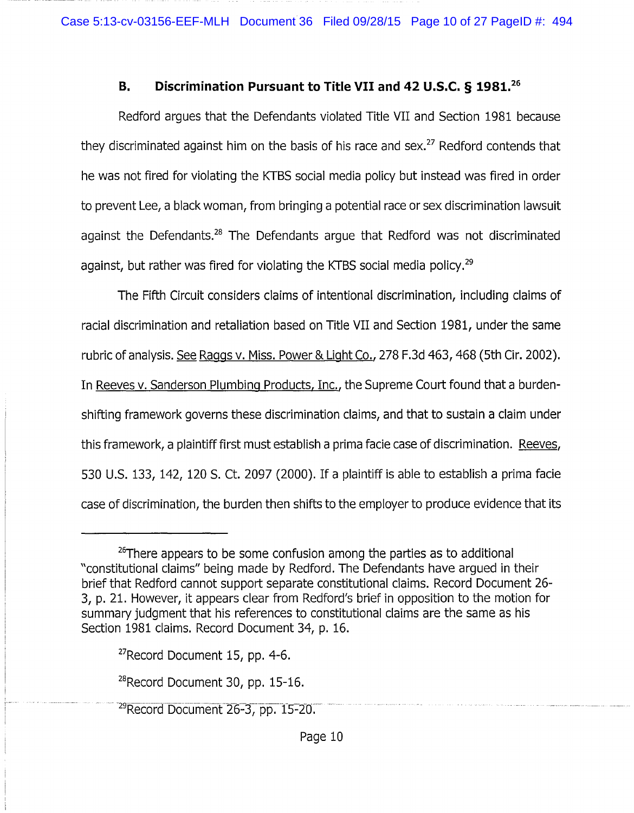#### **B. Discrimination Pursuant to Title VII and 42 U.S.C. § 1981.<sup>26</sup>**

Redford argues that the Defendants violated Title VII and Section 1981 because they discriminated against him on the basis of his race and sex. $27$  Redford contends that he was not fired for violating the KTBS social media policy but instead was fired in order to prevent Lee, a black woman, from bringing a potential race or sex discrimination lawsuit against the Defendants.<sup>28</sup> The Defendants argue that Redford was not discriminated against, but rather was fired for violating the KTBS social media policy.<sup>29</sup>

The Fifth Circuit considers claims of intentional discrimination, including claims of racial discrimination and retaliation based on Title VII and Section 1981, under the same rubric of analysis. See Raggs v. Miss. Power & Light Co., 278 F.3d 463, 468 (5th Cir. 2002). In Reeves v. Sanderson Plumbing Products, Inc., the Supreme Court found that a burdenshifting framework governs these discrimination claims, and that to sustain a claim under this framework, a plaintiff first must establish a prima facie case of discrimination. Reeves, 530 U.S. 133, 142, 120 S. Ct. 2097 (2000). If a plaintiff is able to establish a prima facie case of discrimination, the burden then shifts to the employer to produce evidence that its

 $26$ There appears to be some confusion among the parties as to additional "constitutional claims" being made by Redford. The Defendants have argued in their brief that Redford cannot support separate constitutional claims. Record Document 26- 3, p. 21. However, it appears clear from Redford's brief in opposition to the motion for summary judgment that his references to constitutional claims are the same as his Section 1981 claims. Record Document 34, p. 16.

<sup>27</sup>Record Document 15, pp. 4-6.

<sup>&</sup>lt;sup>28</sup>Record Document 30, pp. 15-16.

<sup>&</sup>lt;sup>29</sup>Record Document 26-3, pp. 15-20.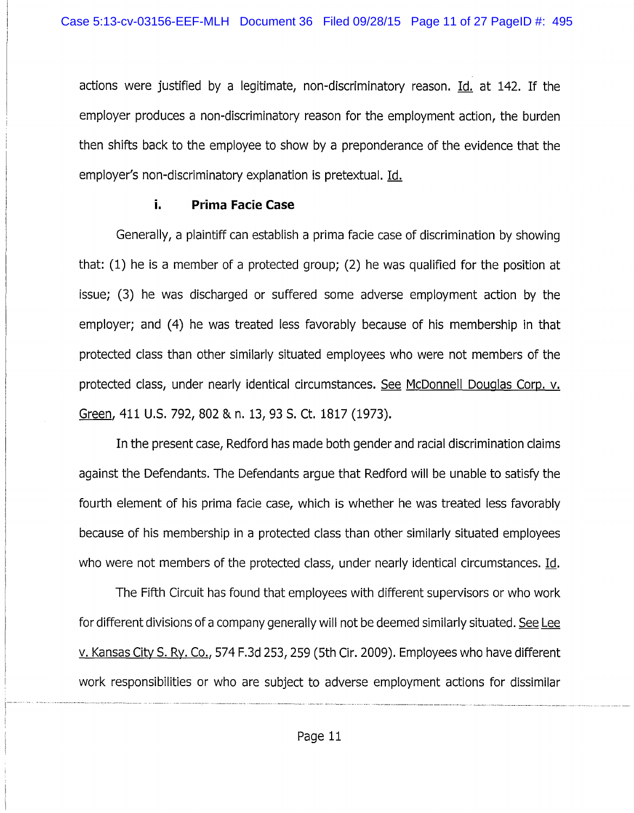actions were justified by a legitimate, non-discriminatory reason. Id. at 142. If the employer produces a non-discriminatory reason for the employment action, the burden then shifts back to the employee to show by a preponderance of the evidence that the employer's non-discriminatory explanation is pretextual. Id.

#### **i. Prima Facie Case**

Generally, a plaintiff can establish a prima facie case of discrimination by showing that: (1) he is a member of a protected group; (2) he was qualified for the position at issue; (3) he was discharged or suffered some adverse employment action by the employer; and (4) he was treated less favorably because of his membership in that protected class than other similarly situated employees who were not members of the protected class, under nearly identical circumstances. See McDonnell Douglas Corp. v. Green, 411 U.S. 792, 802 & n. 13, 93 S. Ct. 1817 (1973).

In the present case, Redford has made both gender and racial discrimination claims against the Defendants. The Defendants argue that Redford will be unable to satisfy the fourth element of his prima facie case, which is whether he was treated less favorably because of his membership in a protected class than other similarly situated employees who were not members of the protected class, under nearly identical circumstances. Id.

The Fifth Circuit has found that employees with different supervisors or who work for different divisions of a company generally will not be deemed similarly situated. See Lee v. Kansas City S. Ry. Co., 574 F.3d 253, 259 (5th Cir. 2009). Employees who have different work responsibilities or who are subject to adverse employment actions for dissimilar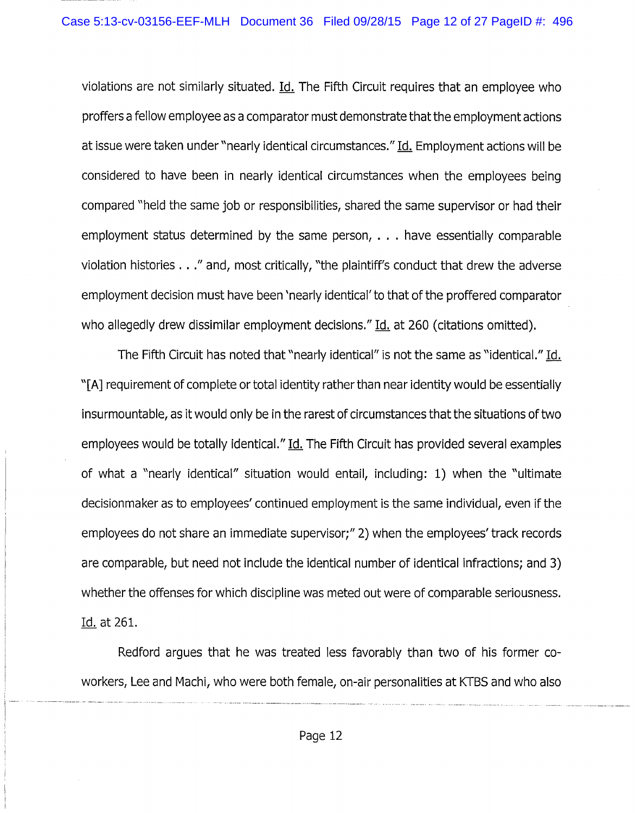violations are not similarly situated. Id. The Fifth Circuit requires that an employee who proffers a fellow employee as a comparator must demonstrate that the employment actions at issue were taken under "nearly identical circumstances." Id. Employment actions will be considered to have been in nearly identical circumstances when the employees being compared "held the same job or responsibilities, shared the same supervisor or had their employment status determined by the same person, ... have essentially comparable violation histories . . ." and, most critically, "the plaintiff's conduct that drew the adverse employment decision must have been 'nearly identical' to that of the proffered comparator who allegedly drew dissimilar employment decisions." Id. at 260 (citations omitted).

The Fifth Circuit has noted that "nearly identical" is not the same as "identical." Id. "[A] requirement of complete or total identity rather than near identity would be essentially insurmountable, as it would only be in the rarest of circumstances that the situations of two employees would be totally identical." Id. The Fifth Circuit has provided several examples of what a "nearly identical" situation would entail, including: 1) when the "ultimate decision maker as to employees' continued employment is the same individual, even if the employees do not share an immediate supervisor;" 2) when the employees' track records are comparable, but need not include the identical number of identical infractions; and 3) whether the offenses for which discipline was meted out were of comparable seriousness. Id. at 261.

Redford argues that he was treated less favorably than two of his former coworkers, Lee and Machi, who were both female, on-air personalities at KTBS and who also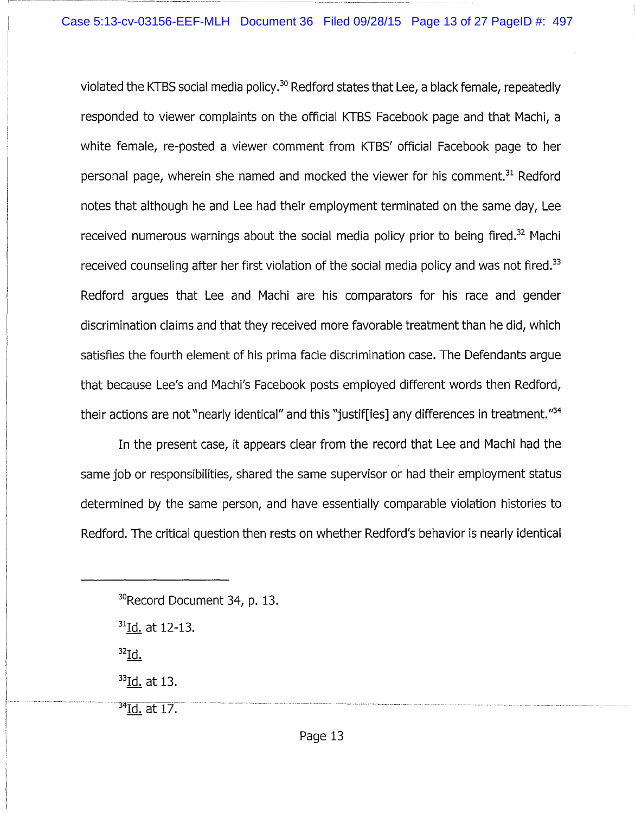~--- --------~ -- ---------------- --------- -------~ - ----------- ---- --

violated the KTBS social media policy.<sup>30</sup> Redford states that Lee, a black female, repeatedly responded to viewer complaints on the official KTBS Facebook page and that Machi, a white female, re-posted a viewer comment from KTBS' official Facebook page to her personal page, wherein she named and mocked the viewer for his comment.<sup>31</sup> Redford notes that although he and Lee had their employment terminated on the same day, Lee received numerous warnings about the social media policy prior to being fired.<sup>32</sup> Machi received counseling after her first violation of the social media policy and was not fired.<sup>33</sup> Redford argues that Lee and Machi are his comparators for his race and gender discrimination claims and that they received more favorable treatment than he did, which satisfies the fourth element of his prima facie discrimination case. The Defendants argue that because Lee's and Machi's Facebook posts employed different words then Redford, their actions are not "nearly identical" and this "justif[ies] any differences in treatment."<sup>34</sup>

In the present case, it appears clear from the record that Lee and Machi had the same job or responsibilities, shared the same supervisor or had their employment status determined by the same person, and have essentially comparable violation histories to Redford. The critical question then rests on whether Redford's behavior is nearly identical

 $32$ Id.

<sup>&</sup>lt;sup>30</sup>Record Document 34, p. 13.

 $31$ Id. at 12-13.

 $33$ Id. at 13.

 $34$ Id. at 17.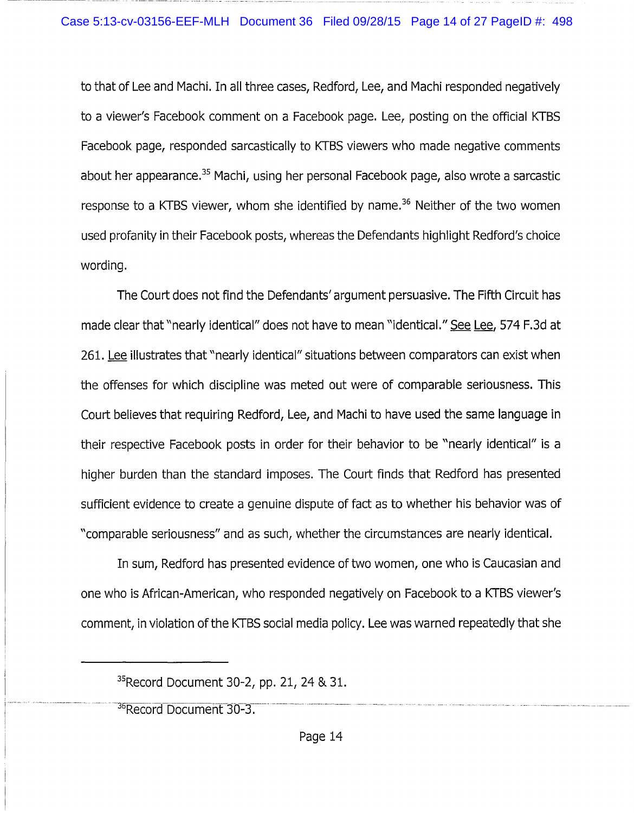to that of Lee and Machi. In all three cases, Redford, Lee, and Machi responded negatively to a viewer's Facebook comment on a Facebook page. Lee, posting on the official KTBS Facebook page, responded sarcastically to KTBS viewers who made negative comments about her appearance.<sup>35</sup> Machi, using her personal Facebook page, also wrote a sarcastic response to a KTBS viewer, whom she identified by name.<sup>36</sup> Neither of the two women used profanity in their Facebook posts, whereas the Defendants highlight Redford's choice wording.

The Court does not find the Defendants' argument persuasive. The Fifth Circuit has made clear that "nearly identical" does not have to mean "identical." See Lee, 574 F.3d at 261. Lee illustrates that "nearly identical" situations between comparators can exist when the offenses for which discipline was meted out were of comparable seriousness. This Court believes that requiring Redford, Lee, and Machi to have used the same language in their respective Facebook posts in order for their behavior to be "nearly identical" is a higher burden than the standard imposes. The Court finds that Redford has presented sufficient evidence to create a genuine dispute of fact as to whether his behavior was of "comparable seriousness" and as such, whether the circumstances are nearly identical.

In sum, Redford has presented evidence of two women, one who is Caucasian and one who is African-American, who responded negatively on Facebook to a KTBS viewer's comment, in violation of the KTBS social media policy. Lee was warned repeatedly that she

<sup>36</sup>Record Document 30-3.

 $35$ Record Document 30-2, pp. 21, 24 & 31.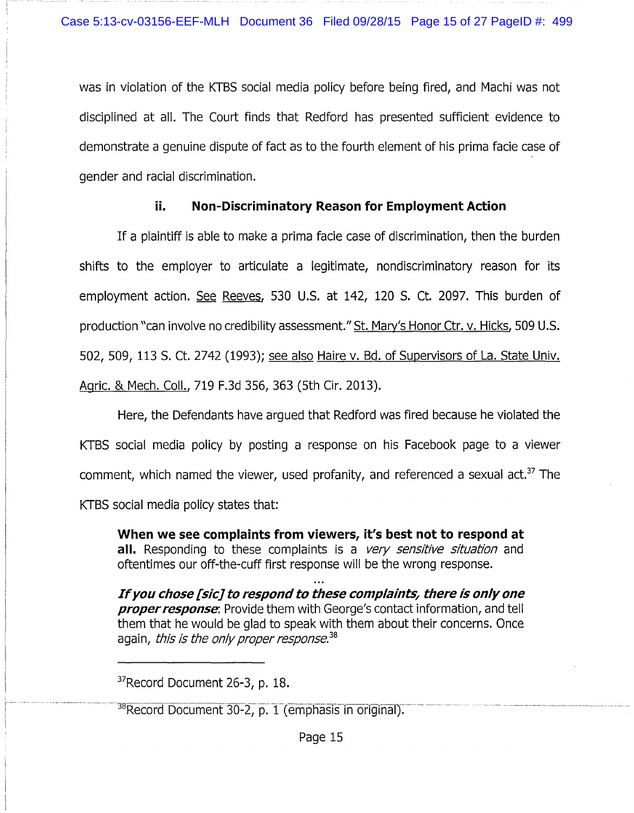was in violation of the KTBS social media policy before being fired, and Machi was not disciplined at all. The Court finds that Redford has presented sufficient evidence to demonstrate a genuine dispute of fact as to the fourth element of his prima facie case of gender and racial discrimination.

#### **ii. Non-Discriminatory Reason for Employment Action**

If a plaintiff is able to make a prima facie case of discrimination, then the burden shifts to the employer to articulate a legitimate, nondiscriminatory reason for its employment action. See Reeves, 530 U.S. at 142, 120 S. Ct. 2097. This burden of production "can involve no credibility assessment." St. Mary's Honor Ctr. v. Hicks, 509 U.S. 502, 509, 113 S. Ct. 2742 (1993); see also Haire v. Bd. of Supervisors of La. State Univ. Agric. & Mech. Coli., 719 F.3d 356, 363 (5th Cir. 2013).

Here, the Defendants have argued that Redford was fired because he violated the KTBS social media policy by posting a response on his Facebook page to a viewer comment, which named the viewer, used profanity, and referenced a sexual act.<sup>37</sup> The KTBS social media policy states that:

**When we see complaints from viewers, it's best not to respond at**  all. Responding to these complaints is a very sensitive situation and oftentimes our off-the-cuff first response will be the wrong response.

**If you chose** [sic] **to respond to these complaints, there is only one proper response:** Provide them with George's contact information, and tell them that he would be glad to speak with them about their concerns. Once again, this is the only proper response.<sup>38</sup>

<sup>37</sup>Record Document 26-3, p. 18.

 $-$  38 Record Document 30-2, p. 1 (emphasis in original).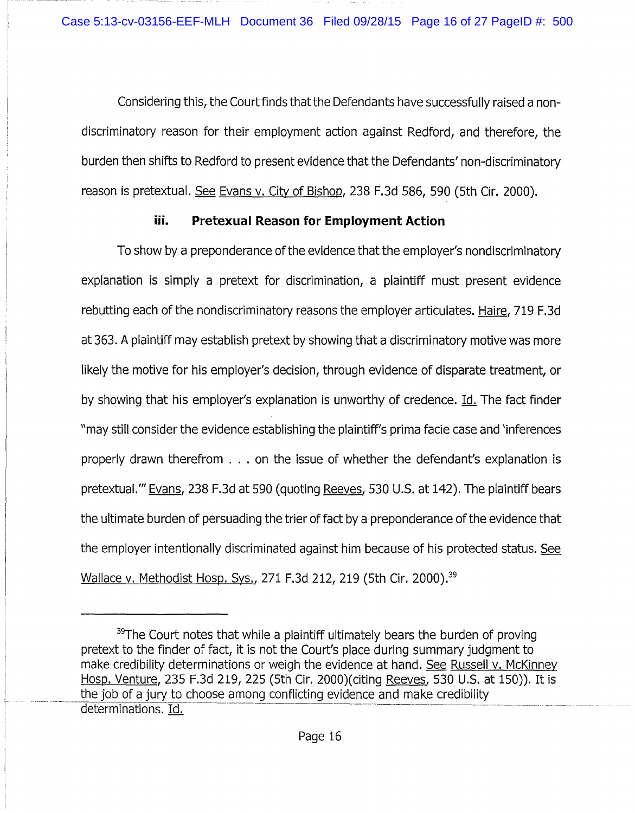Considering this, the Court finds that the Defendants have successfully raised a nondiscriminatory reason for their employment action against Redford, and therefore, the burden then shifts to Redford to present evidence that the Defendants' non-discriminatory reason is pretextual. See Evans v. City of Bishop, 238 F. 3d 586, 590 (5th Cir. 2000).

## **iii. Pretexual Reason for Employment Action**

To show by a preponderance of the evidence that the employer's nondiscriminatory explanation is simply a pretext for discrimination, a plaintiff must present evidence rebutting each of the nondiscriminatory reasons the employer articulates. Haire, 719 F.3d at 363. A plaintiff may establish pretext by showing that a discriminatory motive was more likely the motive for his employer's decision, through evidence of disparate treatment, or by showing that his employer's explanation is unworthy of credence. Id. The fact finder "may still consider the evidence establishing the plaintiff's prima facie case and 'inferences properly drawn therefrom ... on the issue of whether the defendant's explanation is pretextual." Evans, 238 F.3d at 590 (quoting Reeves, 530 U.S. at 142). The plaintiff bears the ultimate burden of persuading the trier of fact by a preponderance of the evidence that the employer intentionally discriminated against him because of his protected status. See Wallace v. Methodist Hosp. Sys., 271 F.3d 212, 219 (5th Cir. 2000).<sup>39</sup>

 $39$ The Court notes that while a plaintiff ultimately bears the burden of proving pretext to the finder of fact, it is not the Court's place during summary judgment to make credibility determinations or weigh the evidence at hand. See Russell v. McKinney Hosp. Venture, 235 F.3d 219, 225 (5th Cir. 2000) (citing Reeves, 530 U.S. at 150)). It is the job of a jury to choose among conflicting evidence and make credibility determinations. Id.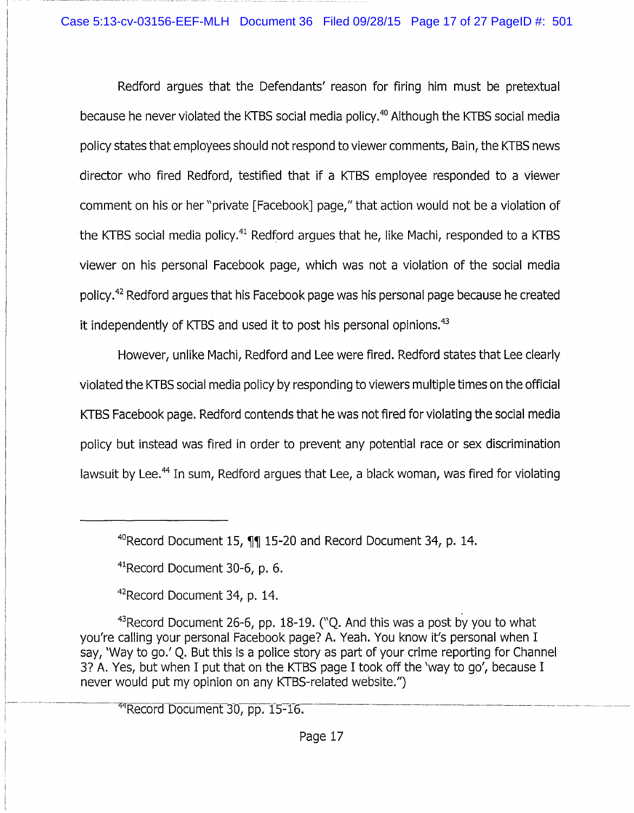Redford argues that the Defendants' reason for firing him must be pretextual because he never violated the KTBS social media policy.<sup>40</sup> Although the KTBS social media policy states that employees should not respond to viewer comments, Bain, the KTBS news director who fired Redford, testified that if a KTBS employee responded to a viewer comment on his or her "private [Facebook] page," that action would not be a violation of the KTBS social media policy.<sup>41</sup> Redford argues that he, like Machi, responded to a KTBS viewer on his personal Facebook page, which was not a violation of the social media policy.<sup>42</sup> Redford argues that his Facebook page was his personal page because he created it independently of KTBS and used it to post his personal opinions.<sup>43</sup>

However, unlike Machi, Redford and Lee were fired. Redford states that Lee clearly violated the KTBS social media policy by responding to viewers multiple times on the official KTBS Facebook page. Redford contends that he was not fired for violating the social media policy but instead was fired in order to prevent any potential race or sex discrimination lawsuit by Lee.<sup>44</sup> In sum, Redford argues that Lee, a black woman, was fired for violating

<sup>40</sup>Record Document 15,  $\P\P$  15-20 and Record Document 34, p. 14.

<sup>41</sup>Record Document 30-6, p. 6.

I .

<sup>42</sup>Record Document 34, p. 14.

 $43$ Record Document 26-6, pp. 18-19. ("Q. And this was a post by you to what you're calling your personal Facebook page? A. Yeah. You know it's personal when I say, 'Way to go.' Q. But this is a police story as part of your crime reporting for Channel 3? A. Yes, but when I put that on the KTBS page I took off the 'way to go', because I never would put my opinion on any KTBS-related website.")

<sup>44</sup> Record Document 30, pp. 15-16.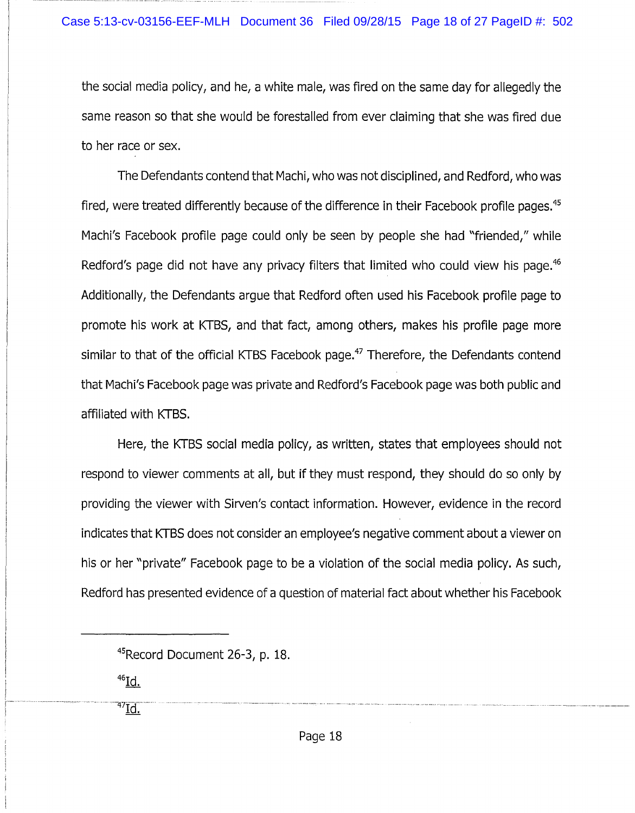the social media policy, and he, a white male, was fired on the same day for allegedly the same reason so that she would be forestalled from ever claiming that she was fired due to her race or sex.

The Defendants contend that Machi, who was not disciplined, and Redford, who was fired, were treated differently because of the difference in their Facebook profile pages.<sup>45</sup> Machi's Facebook profile page could only be seen by people she had "friended," while Redford's page did not have any privacy filters that limited who could view his page.<sup>46</sup> Additionally, the Defendants argue that Redford often used his Facebook profile page to promote his work at KTBS, and that fact, among others, makes his profile page more similar to that of the official KTBS Facebook page. $47$  Therefore, the Defendants contend that Machi's Facebook page was private and Redford's Facebook page was both public and affiliated with KTBS.

Here, the KTBS social media policy, as written, states that employees should not respond to viewer comments at all, but if they must respond, they should do so only by providing the viewer with Sirven's contact information. However, evidence in the record indicates that KTBS does not consider an employee's negative comment about a viewer on his or her "private" Facebook page to be a violation of the social media policy. As such, Redford has presented evidence of a question of material fact about whether his Facebook

 $^{46}$ Id.

 $47$  $\underline{\text{Id.}}$ 

<sup>45</sup>Record Document 26-3, p. 18.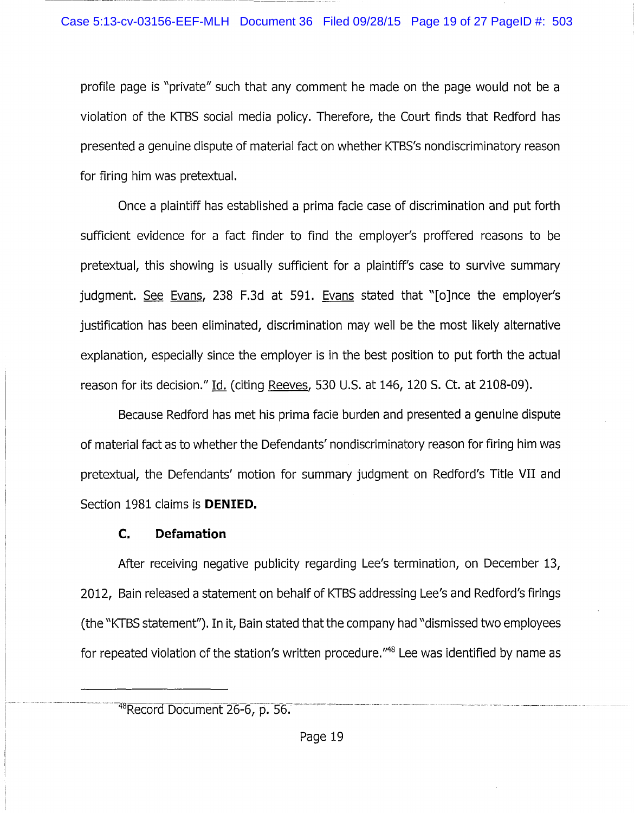profile page is "private" such that any comment he made on the page would not be a violation of the KTBS social media policy. Therefore, the Court finds that Redford has presented a genuine dispute of material fact on whether KTBS's nondiscriminatory reason for firing him was pretextual.

Once a plaintiff has established a prima facie case of discrimination and put forth sufficient evidence for a fact finder to find the employer's proffered reasons to be pretextual, this showing is usually sufficient for a plaintiff's case to survive summary judgment. See Evans, 238 F.3d at 591. Evans stated that "[o]nce the employer's justification has been eliminated, discrimination may well be the most likely alternative explanation, especially since the employer is in the best position to put forth the actual reason for its decision." Id. (citing Reeves, 530 U.S. at 146, 120 S. Ct. at 2108-09).

Because Redford has met his prima facie burden and presented a genuine dispute of material fact as to whether the Defendants' nondiscriminatory reason for firing him was pretextual, the Defendants' motion for summary judgment on Redford's Title VII and Section 1981 claims is **DENIED.** 

## **C. Defamation**

After receiving negative publicity regarding Lee's termination, on December 13, 2012, Bain released a statement on behalf of KTBS addressing Lee's and Redford's firings (the "KTBS statement"). In it, Bain stated that the company had "dismissed two employees for repeated violation of the station's written procedure.<sup>"48</sup> Lee was identified by name as

<sup>&</sup>lt;sup>48</sup>Record Document 26-6, p. 56.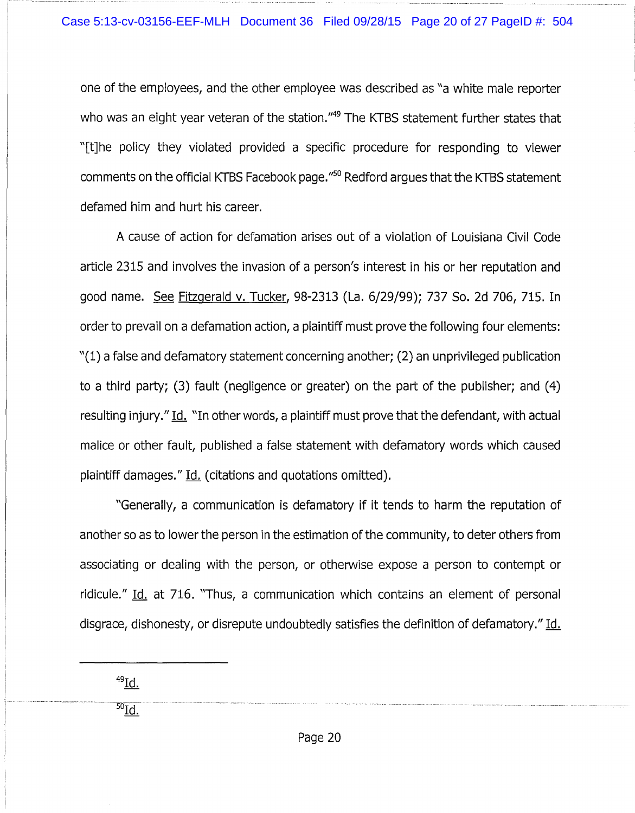one of the employees, and the other employee was described as "a white male reporter who was an eight year veteran of the station."<sup>49</sup> The KTBS statement further states that "[t]he policy they violated provided a specific procedure for responding to viewer comments on the official KTBS Facebook page."<sup>50</sup> Redford argues that the KTBS statement defamed him and hurt his career.

A cause of action for defamation arises out of a violation of Louisiana Civil Code article 2315 and involves the invasion of a person's interest in his or her reputation and good name. See Fitzgerald v. Tucker, 98-2313 (La. 6/29/99); 737 So. 2d 706, 715. In order to prevail on a defamation action, a plaintiff must prove the following four elements: "(1) a false and defamatory statement concerning another; (2) an unprivileged publication to a third party; (3) fault (negligence or greater) on the part of the publisher; and (4) resulting injury." Id. "In other words, a plaintiff must prove that the defendant, with actual malice or other fault, published a false statement with defamatory words which caused plaintiff damages." Id. (citations and quotations omitted).

"Generally, a communication is defamatory if it tends to harm the reputation of another so as to lower the person in the estimation of the community, to deter others from associating or dealing with the person, or otherwise expose a person to contempt or ridicule." Id. at 716. "Thus, a communication which contains an element of personal disgrace, dishonesty, or disrepute undoubtedly satisfies the definition of defamatory." Id.

 $^{49}$ Id.  $-50\tau$  -1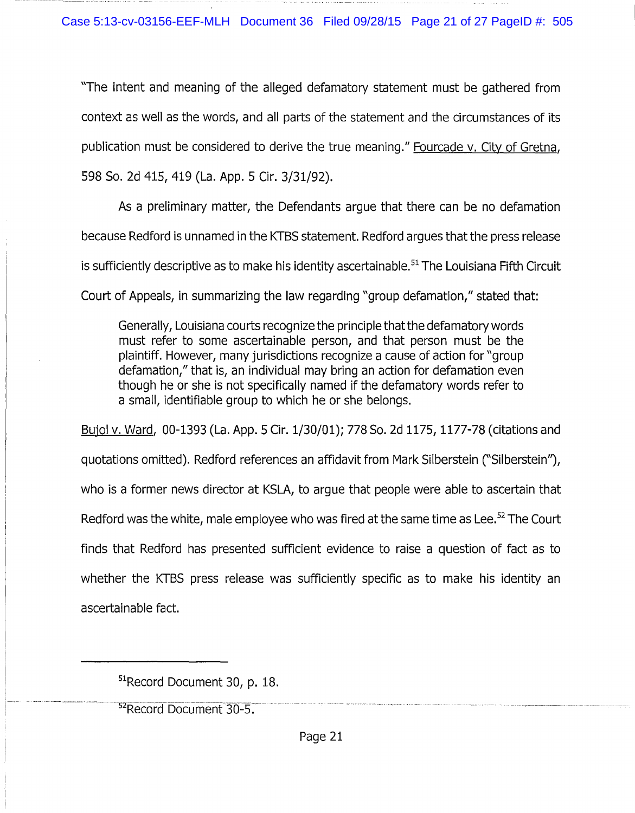"The intent and meaning of the alleged defamatory statement must be gathered from context as well as the words, and all parts of the statement and the circumstances of its publication must be considered to derive the true meaning." Fourcade v. City of Gretna, 598 So. 2d 415, 419 (La. App. 5 Cir. 3/31/92).

As a preliminary matter, the Defendants argue that there can be no defamation because Redford is unnamed in the KTBS statement. Redford argues that the press release is sufficiently descriptive as to make his identity ascertainable.<sup>51</sup> The Louisiana Fifth Circuit Court of Appeals, in summarizing the law regarding "group defamation," stated that:

Generally, Louisiana courts recognize the principle that the defamatory words must refer to some ascertainable person, and that person must be the plaintiff. However, many jurisdictions recognize a cause of action for "group defamation," that is, an individual may bring an action for defamation even though he or she is not specifically named if the defamatory words refer to a small, identifiable group to which he or she belongs.

Bujol v. Ward, 00-1393 (La. App. 5 Cir. 1/30/01); 778 So. 2d 1175, 1177-78 (citations and quotations omitted). Redford references an affidavit from Mark Silberstein ("Silberstein"), who is a former news director at KSLA, to argue that people were able to ascertain that Redford was the white, male employee who was fired at the same time as Lee.<sup>52</sup> The Court finds that Redford has presented sufficient evidence to raise a question of fact as to whether the KTBS press release was sufficiently specific as to make his identity an ascertainable fact.

<sup>51</sup>Record Document 30, p. 18.

<sup>·---··-</sup> ·----------- -------· · ----s2··-·---------------------------------------- -·-- ·- · ·-- ··- Record Document 30-5.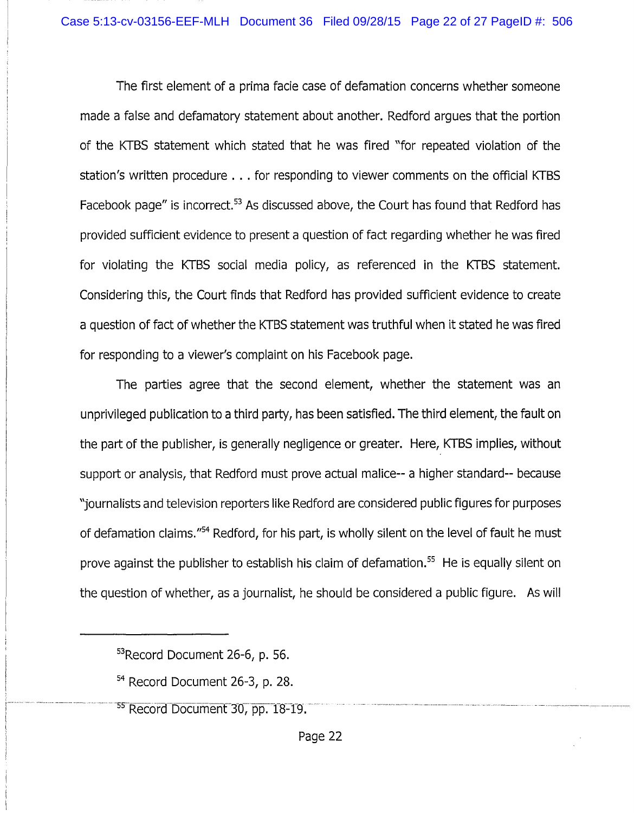The first element of a prima facie case of defamation concerns whether someone made a false and defamatory statement about another. Redford argues that the portion of the KTBS statement which stated that he was fired "for repeated violation of the station's written procedure ... for responding to viewer comments on the official KTBS Facebook page" is incorrect.<sup>53</sup> As discussed above, the Court has found that Redford has provided sufficient evidence to present a question of fact regarding whether he was fired for violating the KTBS social media policy, as referenced in the KTBS statement. Considering this, the Court finds that Redford has provided sufficient evidence to create a question of fact of whether the KTBS statement was truthful when it stated he was fired for responding to a viewer's complaint on his Facebook page.

The parties agree that the second element, whether the statement was an unprivileged publication to a third party, has been satisfied. The third element, the fault on the part of the publisher, is generally negligence or greater. Here, KTBS implies, without support or analysis, that Redford must prove actual malice-- a higher standard-- because "journalists and television reporters like Redford are considered public figures for purposes of defamation claims."<sup>54</sup> Redford, for his part, is wholly silent on the level of fault he must prove against the publisher to establish his claim of defamation.<sup>55</sup> He is equally silent on the question of whether, as a journalist, he should be considered a public figure. As will

<sup>53</sup>Record Document 26-6, p. 56.

 $54$  Record Document 26-3, p. 28.

<sup>&</sup>lt;sup>55</sup> Record Document 30, pp. 18-19.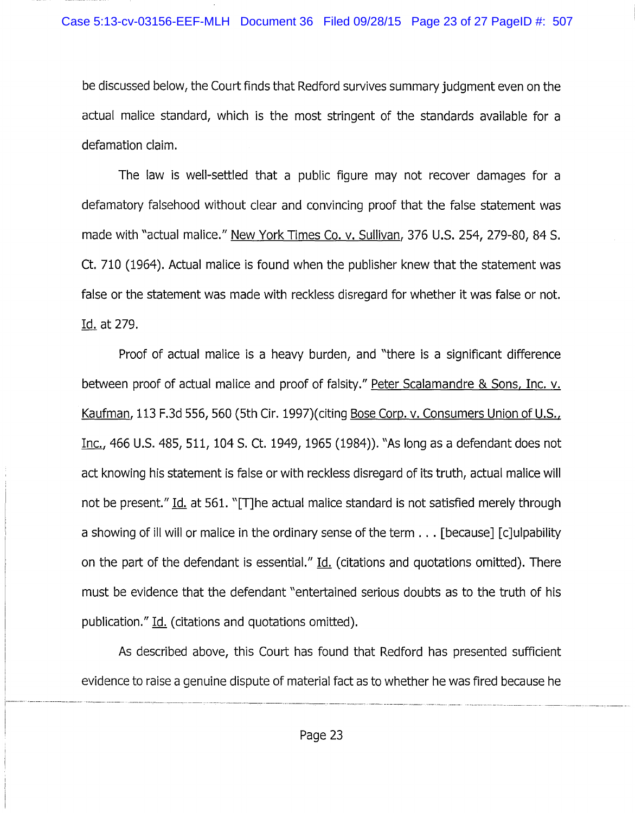be discussed below, the Court finds that Redford survives summary judgment even on the actual malice standard, which is the most stringent of the standards available for a defamation claim.

The law is well-settled that a public figure may not recover damages for a defamatory falsehood without clear and convincing proof that the false statement was made with "actual malice." New York Times Co. v. Sullivan, 376 U.S. 254, 279-80, 84 S. Ct. 710 (1964). Actual malice is found when the publisher knew that the statement was false or the statement was made with reckless disregard for whether it was false or not. Id. at 279.

Proof of actual malice is a heavy burden, and "there is a significant difference between proof of actual malice and proof of falsity." Peter Scalamandre & Sons, Inc. v. Kaufman, 113 F.3d 556, 560 (5th Cir. 1997)(citing Bose Corp. v. Consumers Union of U.S., Inc., 466 U.S. 485, 511, 104 S. Ct. 1949, 1965 (1984)). "As long as a defendant does not act knowing his statement is false or with reckless disregard of its truth, actual malice will not be present." Id. at 561. "[T]he actual malice standard is not satisfied merely through a showing of ill will or malice in the ordinary sense of the term ... [because] [c]ulpability on the part of the defendant is essential." Id. (citations and quotations omitted). There must be evidence that the defendant "entertained serious doubts as to the truth of his publication." Id. (citations and quotations omitted).

As described above, this Court has found that Redford has presented sufficient evidence to raise a genuine dispute of material fact as to whether he was fired because he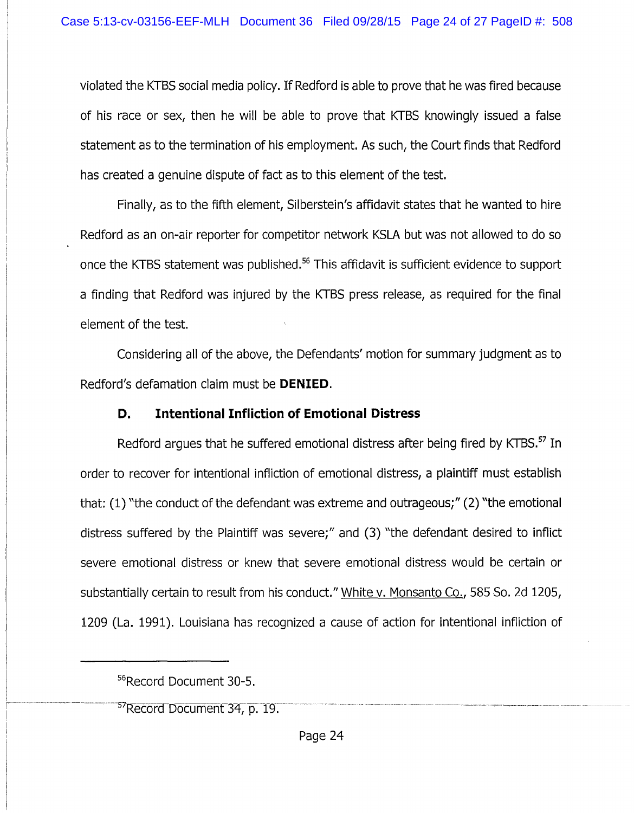violated the KTBS social media policy. If Redford is able to prove that he was fired because of his race or sex, then he will be able to prove that KTBS knowingly issued a false statement as to the termination of his employment. As such, the Court finds that Redford has created a genuine dispute of fact as to this element of the test.

Finally, as to the fifth element, Silberstein's affidavit states that he wanted to hire Redford as an on-air reporter for competitor network KSLA but was not allowed to do so once the KTBS statement was published.<sup>56</sup> This affidavit is sufficient evidence to support a finding that Redford was injured by the KTBS press release, as required for the final element of the test.

Considering all of the above, the Defendants' motion for summary judgment as to Redford's defamation claim must be **DENIED.** 

### **D. Intentional Infliction of Emotional Distress**

Redford argues that he suffered emotional distress after being fired by KTBS.<sup>57</sup> In order to recover for intentional infliction of emotional distress, a plaintiff must establish that: (1) "the conduct of the defendant was extreme and outrageous;" (2) "the emotional distress suffered by the Plaintiff was severe;" and (3) "the defendant desired to inflict severe emotional distress or knew that severe emotional distress would be certain or substantially certain to result from his conduct." White v. Monsanto Co., 585 So. 2d 1205, 1209 (La. 1991). Louisiana has recognized a cause of action for intentional infliction of

<sup>57</sup>Record Document 34, p. 19.

<sup>56</sup>Record Document 30-5.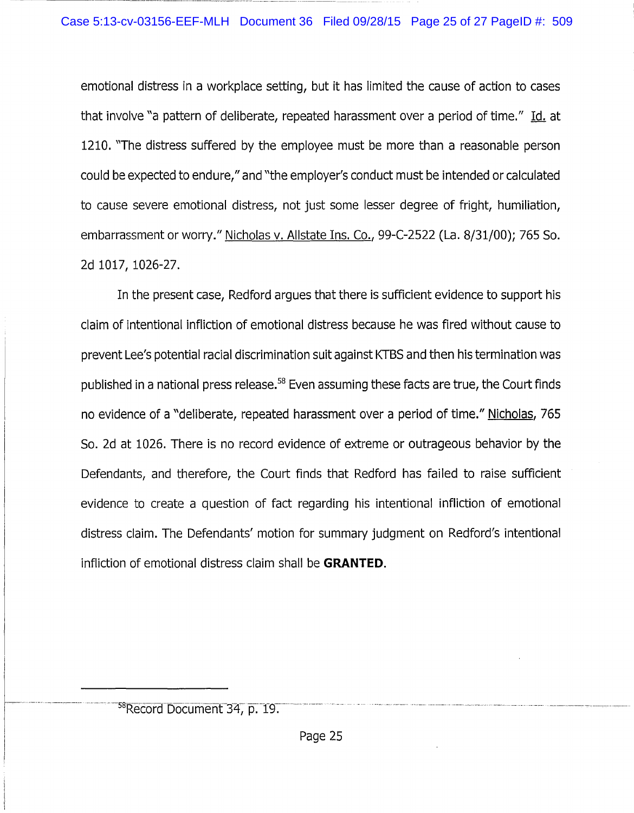emotional distress in a workplace setting, but it has limited the cause of action to cases that involve "a pattern of deliberate, repeated harassment over a period of time." Id. at 1210. "The distress suffered by the employee must be more than a reasonable person could be expected to endure," and "the employer's conduct must be intended or calculated to cause severe emotional distress, not just some lesser degree of fright, humiliation, embarrassment or worry." Nicholas v. Allstate Ins. Co., 99-C-2522 (La. 8/31/00); 765 So. 2d 1017, 1026-27.

In the present case, Redford argues that there is sufficient evidence to support his claim of intentional infliction of emotional distress because he was fired without cause to prevent Lee's potential racial discrimination suit against KTBS and then his termination was published in a national press release.<sup>58</sup> Even assuming these facts are true, the Court finds no evidence of a "deliberate, repeated harassment over a period of time." Nicholas, 765 So. 2d at 1026. There is no record evidence of extreme or outrageous behavior by the Defendants, and therefore, the Court finds that Redford has failed to raise sufficient evidence to create a question of fact regarding his intentional infliction of emotional distress claim. The Defendants' motion for summary judgment on Redford's intentional infliction of emotional distress claim shall be **GRANTED.**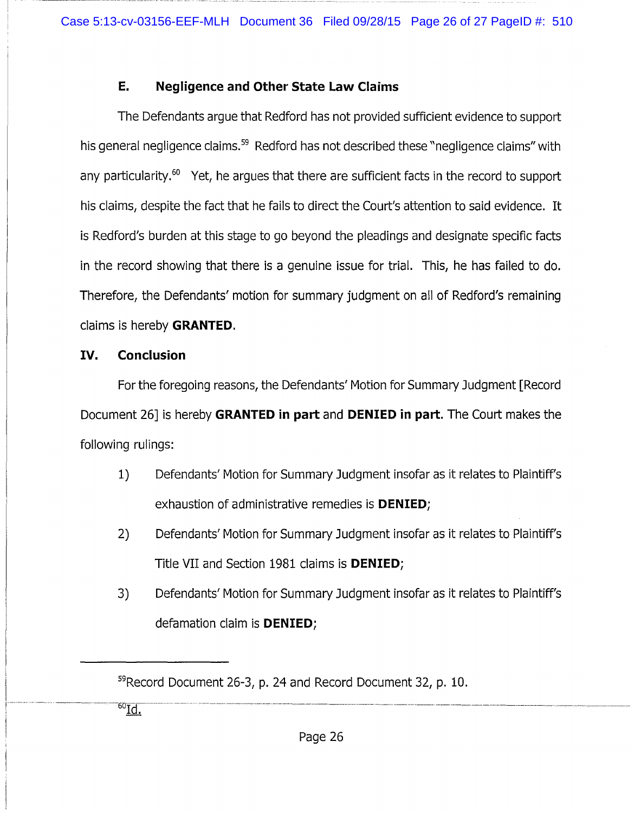# **E. Negligence and Other State Law Claims**

The Defendants argue that Redford has not provided sufficient evidence to support his general negligence claims.<sup>59</sup> Redford has not described these "negligence claims" with any particularity.<sup>60</sup> Yet, he argues that there are sufficient facts in the record to support his claims, despite the fact that he fails to direct the Court's attention to said evidence. It is Redford's burden at this stage to go beyond the pleadings and designate specific facts in the record showing that there is a genuine issue for trial. This, he has failed to do. Therefore, the Defendants' motion for summary judgment on all of Redford's remaining claims is hereby **GRANTED.** 

## IV. **Conclusion**

For the foregoing reasons, the Defendants' Motion for Summary Judgment [Record Document 26] is hereby **GRANTED in part** and **DENIED in part.** The Court makes the following rulings:

- 1) Defendants' Motion for Summary Judgment insofar as it relates to Plaintiff's exhaustion of administrative remedies is **DENIED;**
- 2) Defendants' Motion for Summary Judgment insofar as it relates to Plaintiff's Title VII and Section 1981 claims is **DENIED;**
- 3) Defendants' Motion for Summary Judgment insofar as it relates to Plaintiff's defamation claim is **DENIED;**

-- -------------6old~-------------------------~---------------------------------------~------------------------------------------------

<sup>&</sup>lt;sup>59</sup>Record Document 26-3, p. 24 and Record Document 32, p. 10.